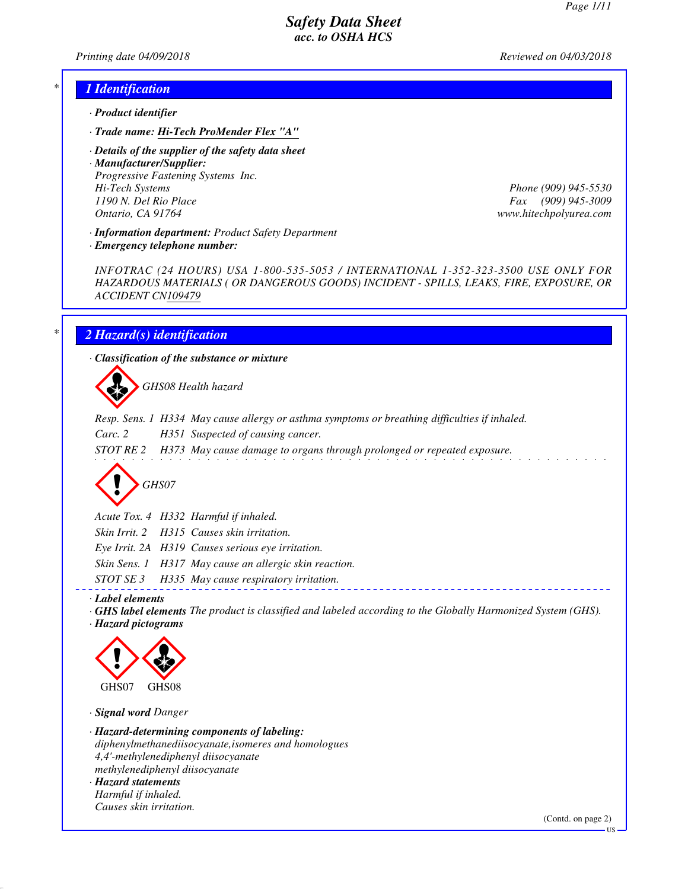*Printing date 04/09/2018 Reviewed on 04/03/2018*

#### *\* 1 Identification*

- *· Product identifier*
- *· Trade name: Hi-Tech ProMender Flex "A"*
- *· Details of the supplier of the safety data sheet*
- *· Manufacturer/Supplier: Progressive Fastening Systems Inc. Hi-Tech Systems Phone (909) 945-5530 1190 N. Del Rio Place Fax (909) 945-3009 Ontario, CA 91764 www.hitechpolyurea.com*

*· Information department: Product Safety Department*

*· Emergency telephone number:*

*INFOTRAC (24 HOURS) USA 1-800-535-5053 / INTERNATIONAL 1-352-323-3500 USE ONLY FOR HAZARDOUS MATERIALS ( OR DANGEROUS GOODS) INCIDENT - SPILLS, LEAKS, FIRE, EXPOSURE, OR ACCIDENT CN109479*

# *\* 2 Hazard(s) identification*

*· Classification of the substance or mixture*

d~*GHS08 Health hazard*

*Resp. Sens. 1 H334 May cause allergy or asthma symptoms or breathing difficulties if inhaled.*

*Carc. 2 H351 Suspected of causing cancer.*

*STOT RE 2 H373 May cause damage to organs through prolonged or repeated exposure.*

# d~*GHS07*

*Acute Tox. 4 H332 Harmful if inhaled.*

*Skin Irrit. 2 H315 Causes skin irritation.*

*Eye Irrit. 2A H319 Causes serious eye irritation.*

*Skin Sens. 1 H317 May cause an allergic skin reaction.*

*STOT SE 3 H335 May cause respiratory irritation.*

*· Label elements*

*· GHS label elements The product is classified and labeled according to the Globally Harmonized System (GHS). · Hazard pictograms*



*· Signal word Danger*

*· Hazard-determining components of labeling: diphenylmethanediisocyanate,isomeres and homologues 4,4'-methylenediphenyl diisocyanate methylenediphenyl diisocyanate*

*· Hazard statements Harmful if inhaled. Causes skin irritation.*

(Contd. on page 2)

US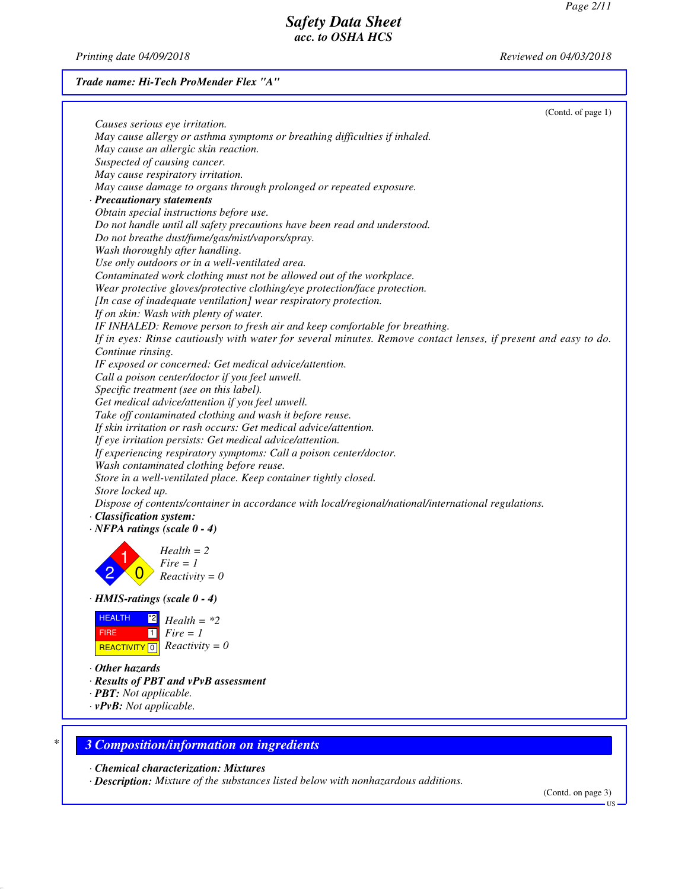*Printing date 04/09/2018 Reviewed on 04/03/2018*

*Trade name: Hi-Tech ProMender Flex "A"*

|                                | (Contd. of page 1)<br>Causes serious eye irritation.                                                           |
|--------------------------------|----------------------------------------------------------------------------------------------------------------|
|                                | May cause allergy or asthma symptoms or breathing difficulties if inhaled.                                     |
|                                | May cause an allergic skin reaction.                                                                           |
|                                | Suspected of causing cancer.                                                                                   |
|                                | May cause respiratory irritation.                                                                              |
|                                | May cause damage to organs through prolonged or repeated exposure.                                             |
|                                | · Precautionary statements                                                                                     |
|                                | Obtain special instructions before use.                                                                        |
|                                | Do not handle until all safety precautions have been read and understood.                                      |
|                                | Do not breathe dust/fume/gas/mist/vapors/spray.                                                                |
|                                | Wash thoroughly after handling.                                                                                |
|                                | Use only outdoors or in a well-ventilated area.                                                                |
|                                | Contaminated work clothing must not be allowed out of the workplace.                                           |
|                                | Wear protective gloves/protective clothing/eye protection/face protection.                                     |
|                                | [In case of inadequate ventilation] wear respiratory protection.                                               |
|                                | If on skin: Wash with plenty of water.                                                                         |
|                                | IF INHALED: Remove person to fresh air and keep comfortable for breathing.                                     |
|                                | If in eyes: Rinse cautiously with water for several minutes. Remove contact lenses, if present and easy to do. |
| Continue rinsing.              |                                                                                                                |
|                                | IF exposed or concerned: Get medical advice/attention.                                                         |
|                                | Call a poison center/doctor if you feel unwell.                                                                |
|                                | Specific treatment (see on this label).                                                                        |
|                                | Get medical advice/attention if you feel unwell.                                                               |
|                                | Take off contaminated clothing and wash it before reuse.                                                       |
|                                | If skin irritation or rash occurs: Get medical advice/attention.                                               |
|                                | If eye irritation persists: Get medical advice/attention.                                                      |
|                                | If experiencing respiratory symptoms: Call a poison center/doctor.                                             |
|                                | Wash contaminated clothing before reuse.                                                                       |
|                                | Store in a well-ventilated place. Keep container tightly closed.                                               |
| Store locked up.               |                                                                                                                |
|                                | Dispose of contents/container in accordance with local/regional/national/international regulations.            |
| · Classification system:       |                                                                                                                |
|                                | $\cdot$ NFPA ratings (scale 0 - 4)                                                                             |
|                                |                                                                                                                |
|                                | $Health = 2$<br>$Fire = 1$                                                                                     |
|                                | $Reactivity = 0$                                                                                               |
|                                |                                                                                                                |
|                                | $\cdot$ HMIS-ratings (scale 0 - 4)                                                                             |
| <b>HEALTH</b>                  | *2∣<br>$Health = *2$                                                                                           |
| <b>FIRE</b>                    | $Fire = 1$<br>$\vert$ 1                                                                                        |
| REACTIVITY <sup>0</sup>        | $Reactivity = 0$                                                                                               |
|                                |                                                                                                                |
| $\cdot$ Other hazards          |                                                                                                                |
|                                | · Results of PBT and vPvB assessment                                                                           |
| · <b>PBT</b> : Not applicable. |                                                                                                                |
| $\cdot$ vPvB: Not applicable.  |                                                                                                                |
|                                |                                                                                                                |

*· Chemical characterization: Mixtures*

*· Description: Mixture of the substances listed below with nonhazardous additions.*

(Contd. on page 3)

US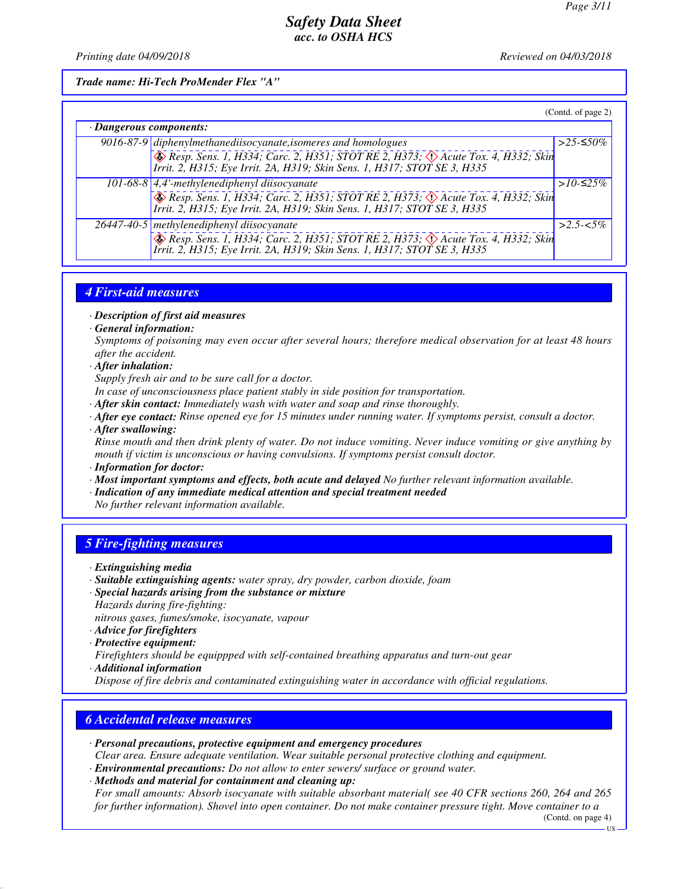*Printing date 04/09/2018 Reviewed on 04/03/2018*

*Trade name: Hi-Tech ProMender Flex "A"*

|                         |                                                                                                                                                                                                                            | (Contd. of page 2) |
|-------------------------|----------------------------------------------------------------------------------------------------------------------------------------------------------------------------------------------------------------------------|--------------------|
| · Dangerous components: |                                                                                                                                                                                                                            |                    |
|                         |                                                                                                                                                                                                                            | >25-≤50%           |
|                         | 9016-87-9 diphenylmethanediisocyanate, isomeres and homologues<br>$\sqrt{\text{Resp. Sens. } I, H334, Carc. 2, H351, STOTRE 2, H373, }$<br>Irrit. 2, H315; Eye Irrit. 2A, H319; Skin Sens. 1, H317; STOT SE 3, H335        |                    |
|                         | $101-68-8$ 4,4'-methylenediphenyl diisocyanate<br>Resp. Sens. 1, H334; Carc. 2, H351; STOT RE 2, H373; $\Diamond$ Acute Tox. 4, H332; Skin<br>Irrit. 2, H315; Eye Irrit. 2A, H319; Skin Sens. 1, H317; STOT SE 3, H335     | > $10$ -≤25%       |
|                         | 26447-40-5 methylenediphenyl diisocyanate<br>$\otimes$ Resp. Sens. 1, H334; Carc. 2, H351; STOT RE 2, H373; $\otimes$ Acute Tox. 4, H332; Skin<br>Irrit. 2, H315; Eye Irrit. 2A, H319; Skin Sens. 1, H317; STOT SE 3, H335 | $>2.5 - 5\%$       |

# *4 First-aid measures*

- *· Description of first aid measures*
- *· General information:*

*Symptoms of poisoning may even occur after several hours; therefore medical observation for at least 48 hours after the accident.*

- *· After inhalation:*
- *Supply fresh air and to be sure call for a doctor.*
- *In case of unconsciousness place patient stably in side position for transportation.*
- *· After skin contact: Immediately wash with water and soap and rinse thoroughly.*
- *· After eye contact: Rinse opened eye for 15 minutes under running water. If symptoms persist, consult a doctor.*
- *· After swallowing:*

*Rinse mouth and then drink plenty of water. Do not induce vomiting. Never induce vomiting or give anything by mouth if victim is unconscious or having convulsions. If symptoms persist consult doctor.*

- *· Information for doctor:*
- *· Most important symptoms and effects, both acute and delayed No further relevant information available.*
- *· Indication of any immediate medical attention and special treatment needed*
- *No further relevant information available.*

# *5 Fire-fighting measures*

- *· Extinguishing media*
- *· Suitable extinguishing agents: water spray, dry powder, carbon dioxide, foam · Special hazards arising from the substance or mixture*
- *Hazards during fire-fighting:*
- *nitrous gases, fumes/smoke, isocyanate, vapour*
- *· Advice for firefighters*
- *· Protective equipment:*

*Firefighters should be equippped with self-contained breathing apparatus and turn-out gear · Additional information*

*Dispose of fire debris and contaminated extinguishing water in accordance with official regulations.*

### *6 Accidental release measures*

- *· Personal precautions, protective equipment and emergency procedures*
- *Clear area. Ensure adequate ventilation. Wear suitable personal protective clothing and equipment.*
- *· Environmental precautions: Do not allow to enter sewers/ surface or ground water.*

*· Methods and material for containment and cleaning up: For small amounts: Absorb isocyanate with suitable absorbant material( see 40 CFR sections 260, 264 and 265 for further information). Shovel into open container. Do not make container pressure tight. Move container to a*

(Contd. on page 4)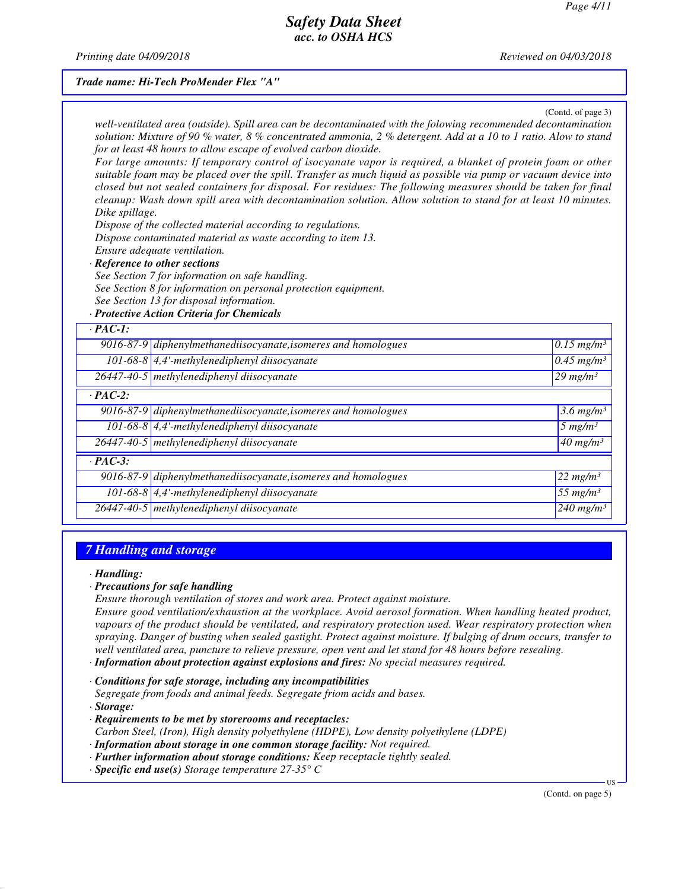*Printing date 04/09/2018 Reviewed on 04/03/2018*

#### *Trade name: Hi-Tech ProMender Flex "A"*

(Contd. of page 3)

| Dike spillage. | well-ventilated area (outside). Spill area can be decontaminated with the folowing recommended decontamination<br>solution: Mixture of 90 % water, 8 % concentrated ammonia, 2 % detergent. Add at a 10 to 1 ratio. Alow to stand<br>for at least 48 hours to allow escape of evolved carbon dioxide.<br>For large amounts: If temporary control of isocyanate vapor is required, a blanket of protein foam or other<br>suitable foam may be placed over the spill. Transfer as much liquid as possible via pump or vacuum device into<br>closed but not sealed containers for disposal. For residues: The following measures should be taken for final<br>cleanup: Wash down spill area with decontamination solution. Allow solution to stand for at least 10 minutes.<br>Dispose of the collected material according to regulations.<br>Dispose contaminated material as waste according to item 13.<br>Ensure adequate ventilation.<br>· Reference to other sections<br>See Section 7 for information on safe handling.<br>See Section 8 for information on personal protection equipment.<br>See Section 13 for disposal information.<br>· Protective Action Criteria for Chemicals |                                   |
|----------------|------------------------------------------------------------------------------------------------------------------------------------------------------------------------------------------------------------------------------------------------------------------------------------------------------------------------------------------------------------------------------------------------------------------------------------------------------------------------------------------------------------------------------------------------------------------------------------------------------------------------------------------------------------------------------------------------------------------------------------------------------------------------------------------------------------------------------------------------------------------------------------------------------------------------------------------------------------------------------------------------------------------------------------------------------------------------------------------------------------------------------------------------------------------------------------------|-----------------------------------|
| $\cdot$ PAC-1: |                                                                                                                                                                                                                                                                                                                                                                                                                                                                                                                                                                                                                                                                                                                                                                                                                                                                                                                                                                                                                                                                                                                                                                                          |                                   |
|                | 9016-87-9 diphenylmethanediisocyanate, isomeres and homologues                                                                                                                                                                                                                                                                                                                                                                                                                                                                                                                                                                                                                                                                                                                                                                                                                                                                                                                                                                                                                                                                                                                           | $0.15$ mg/m <sup>3</sup>          |
|                | 101-68-8 $\left $ 4,4'-methylenediphenyl diisocyanate                                                                                                                                                                                                                                                                                                                                                                                                                                                                                                                                                                                                                                                                                                                                                                                                                                                                                                                                                                                                                                                                                                                                    | $0.45$ mg/m <sup>3</sup>          |
|                | 26447-40-5 methylenediphenyl diisocyanate                                                                                                                                                                                                                                                                                                                                                                                                                                                                                                                                                                                                                                                                                                                                                                                                                                                                                                                                                                                                                                                                                                                                                | $29$ mg/m <sup>3</sup>            |
| $\cdot$ PAC-2: |                                                                                                                                                                                                                                                                                                                                                                                                                                                                                                                                                                                                                                                                                                                                                                                                                                                                                                                                                                                                                                                                                                                                                                                          |                                   |
|                | $9016-87-9$ diphenylmethanediisocyanate, isomeres and homologues                                                                                                                                                                                                                                                                                                                                                                                                                                                                                                                                                                                                                                                                                                                                                                                                                                                                                                                                                                                                                                                                                                                         | $3.6$ mg/m <sup>3</sup>           |
|                | $101-68-8$ 4,4'-methylenediphenyl diisocyanate                                                                                                                                                                                                                                                                                                                                                                                                                                                                                                                                                                                                                                                                                                                                                                                                                                                                                                                                                                                                                                                                                                                                           | $5$ mg/m <sup>3</sup>             |
|                | 26447-40-5 methylenediphenyl diisocyanate                                                                                                                                                                                                                                                                                                                                                                                                                                                                                                                                                                                                                                                                                                                                                                                                                                                                                                                                                                                                                                                                                                                                                | $\overline{40}$ mg/m <sup>3</sup> |
| $\cdot$ PAC-3: |                                                                                                                                                                                                                                                                                                                                                                                                                                                                                                                                                                                                                                                                                                                                                                                                                                                                                                                                                                                                                                                                                                                                                                                          |                                   |
|                | 9016-87-9 diphenylmethanediisocyanate, isomeres and homologues                                                                                                                                                                                                                                                                                                                                                                                                                                                                                                                                                                                                                                                                                                                                                                                                                                                                                                                                                                                                                                                                                                                           | $22 \ mg/m^3$                     |
|                | 101-68-8 $\vert$ 4,4'-methylenediphenyl diisocyanate                                                                                                                                                                                                                                                                                                                                                                                                                                                                                                                                                                                                                                                                                                                                                                                                                                                                                                                                                                                                                                                                                                                                     | 55 $mg/m^3$                       |
|                | 26447-40-5 methylenediphenyl diisocyanate                                                                                                                                                                                                                                                                                                                                                                                                                                                                                                                                                                                                                                                                                                                                                                                                                                                                                                                                                                                                                                                                                                                                                | $\frac{240 \text{ mg}}{m}$        |
|                |                                                                                                                                                                                                                                                                                                                                                                                                                                                                                                                                                                                                                                                                                                                                                                                                                                                                                                                                                                                                                                                                                                                                                                                          |                                   |

# *7 Handling and storage*

*· Handling:*

#### *· Precautions for safe handling*

*Ensure thorough ventilation of stores and work area. Protect against moisture.*

*Ensure good ventilation/exhaustion at the workplace. Avoid aerosol formation. When handling heated product, vapours of the product should be ventilated, and respiratory protection used. Wear respiratory protection when spraying. Danger of busting when sealed gastight. Protect against moisture. If bulging of drum occurs, transfer to well ventilated area, puncture to relieve pressure, open vent and let stand for 48 hours before resealing.*

*· Information about protection against explosions and fires: No special measures required.*

*· Conditions for safe storage, including any incompatibilities Segregate from foods and animal feeds. Segregate friom acids and bases.*

*· Storage:*

- *· Requirements to be met by storerooms and receptacles: Carbon Steel, (Iron), High density polyethylene (HDPE), Low density polyethylene (LDPE)*
- *· Information about storage in one common storage facility: Not required.*
- *· Further information about storage conditions: Keep receptacle tightly sealed.*
- *· Specific end use(s) Storage temperature 27-35° C*

(Contd. on page 5)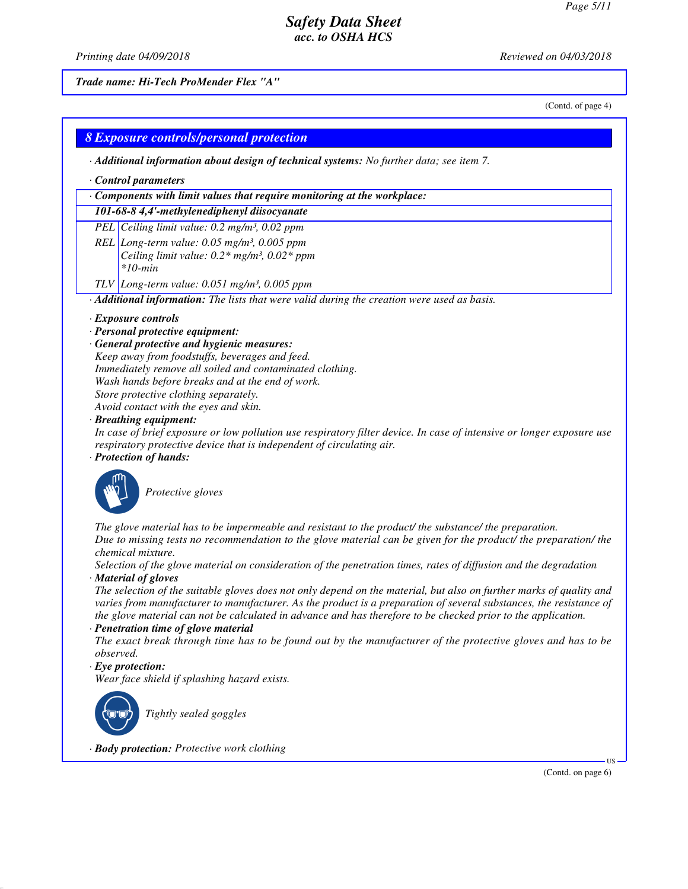*Printing date 04/09/2018 Reviewed on 04/03/2018*

*Trade name: Hi-Tech ProMender Flex "A"*

(Contd. of page 4)

# *8 Exposure controls/personal protection*

*· Additional information about design of technical systems: No further data; see item 7.*

#### *· Control parameters*

#### *· Components with limit values that require monitoring at the workplace:*

*101-68-8 4,4'-methylenediphenyl diisocyanate*

*PEL Ceiling limit value: 0.2 mg/m³, 0.02 ppm*

- *REL Long-term value: 0.05 mg/m³, 0.005 ppm Ceiling limit value: 0.2\* mg/m³, 0.02\* ppm \*10-min*
- *TLV Long-term value: 0.051 mg/m³, 0.005 ppm*

*· Additional information: The lists that were valid during the creation were used as basis.*

#### *· Exposure controls*

- *· Personal protective equipment:*
- *· General protective and hygienic measures:*

*Keep away from foodstuffs, beverages and feed. Immediately remove all soiled and contaminated clothing. Wash hands before breaks and at the end of work. Store protective clothing separately.*

*Avoid contact with the eyes and skin.*

#### *· Breathing equipment:*

*In case of brief exposure or low pollution use respiratory filter device. In case of intensive or longer exposure use respiratory protective device that is independent of circulating air.*

#### *· Protection of hands:*



\_S*Protective gloves*

*The glove material has to be impermeable and resistant to the product/ the substance/ the preparation. Due to missing tests no recommendation to the glove material can be given for the product/ the preparation/ the chemical mixture.*

*Selection of the glove material on consideration of the penetration times, rates of diffusion and the degradation · Material of gloves*

*The selection of the suitable gloves does not only depend on the material, but also on further marks of quality and varies from manufacturer to manufacturer. As the product is a preparation of several substances, the resistance of the glove material can not be calculated in advance and has therefore to be checked prior to the application.*

*· Penetration time of glove material*

*The exact break through time has to be found out by the manufacturer of the protective gloves and has to be observed.*

#### *· Eye protection:*

*Wear face shield if splashing hazard exists.*



\_R*Tightly sealed goggles*

*· Body protection: Protective work clothing*

(Contd. on page 6)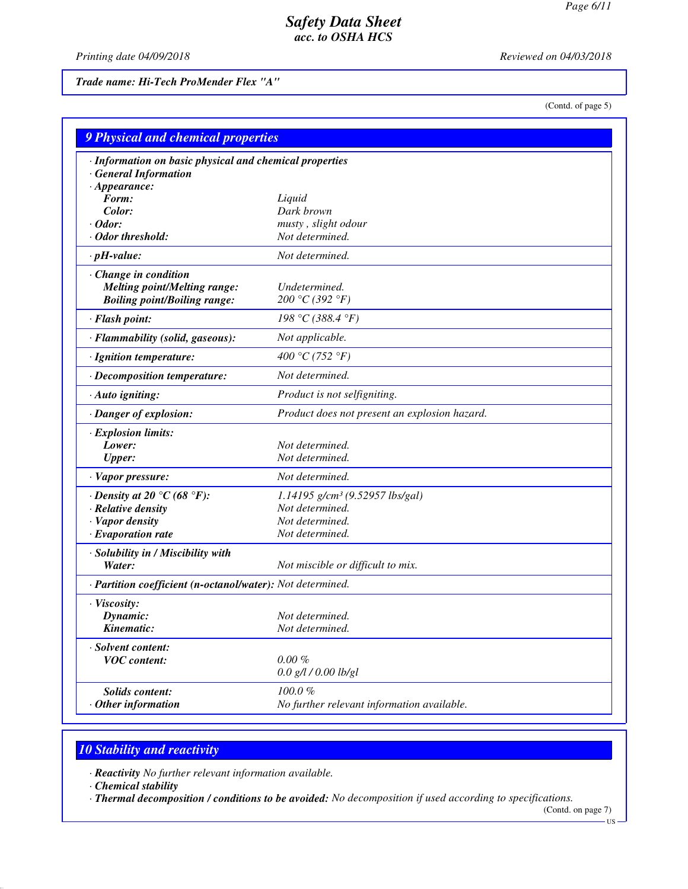*Printing date 04/09/2018 Reviewed on 04/03/2018*

*Trade name: Hi-Tech ProMender Flex "A"*

(Contd. of page 5)

| <b>9 Physical and chemical properties</b>                                                         |                                               |
|---------------------------------------------------------------------------------------------------|-----------------------------------------------|
| · Information on basic physical and chemical properties<br><b>General Information</b>             |                                               |
| $\cdot$ Appearance:<br>Form:                                                                      |                                               |
| Color:                                                                                            | Liquid<br>Dark brown                          |
| $\cdot$ Odor:                                                                                     | musty, slight odour                           |
| · Odor threshold:                                                                                 | Not determined.                               |
| $\cdot$ pH-value:                                                                                 | Not determined.                               |
|                                                                                                   |                                               |
| Change in condition<br><b>Melting point/Melting range:</b><br><b>Boiling point/Boiling range:</b> | Undetermined.<br>200 °C (392 °F)              |
| · Flash point:                                                                                    | 198 °C (388.4 °F)                             |
| · Flammability (solid, gaseous):                                                                  | Not applicable.                               |
| · Ignition temperature:                                                                           | 400 °C (752 °F)                               |
| · Decomposition temperature:                                                                      | Not determined.                               |
| · Auto igniting:                                                                                  | Product is not selfigniting.                  |
| · Danger of explosion:                                                                            | Product does not present an explosion hazard. |
| · Explosion limits:                                                                               |                                               |
| Lower:                                                                                            | Not determined.                               |
| <b>Upper:</b>                                                                                     | Not determined.                               |
| · Vapor pressure:                                                                                 | Not determined.                               |
| $\cdot$ Density at 20 $\degree$ C (68 $\degree$ F):                                               | 1.14195 g/cm <sup>3</sup> (9.52957 lbs/gal)   |
| · Relative density                                                                                | Not determined.                               |
| · Vapor density                                                                                   | Not determined.                               |
| $\cdot$ Evaporation rate                                                                          | Not determined.                               |
| · Solubility in / Miscibility with                                                                |                                               |
| Water:                                                                                            | Not miscible or difficult to mix.             |
| · Partition coefficient (n-octanol/water): Not determined.                                        |                                               |
| · Viscosity:                                                                                      |                                               |
| Dynamic:                                                                                          | Not determined.                               |
| Kinematic:                                                                                        | Not determined.                               |
| · Solvent content:                                                                                |                                               |
| <b>VOC</b> content:                                                                               | $0.00 \%$                                     |
|                                                                                                   | $0.0$ g/l / $0.00$ lb/gl                      |
| <b>Solids content:</b>                                                                            | 100.0%                                        |
| $·$ Other information                                                                             | No further relevant information available.    |

# *10 Stability and reactivity*

*· Reactivity No further relevant information available.*

*· Chemical stability*

*· Thermal decomposition / conditions to be avoided: No decomposition if used according to specifications.*

(Contd. on page 7)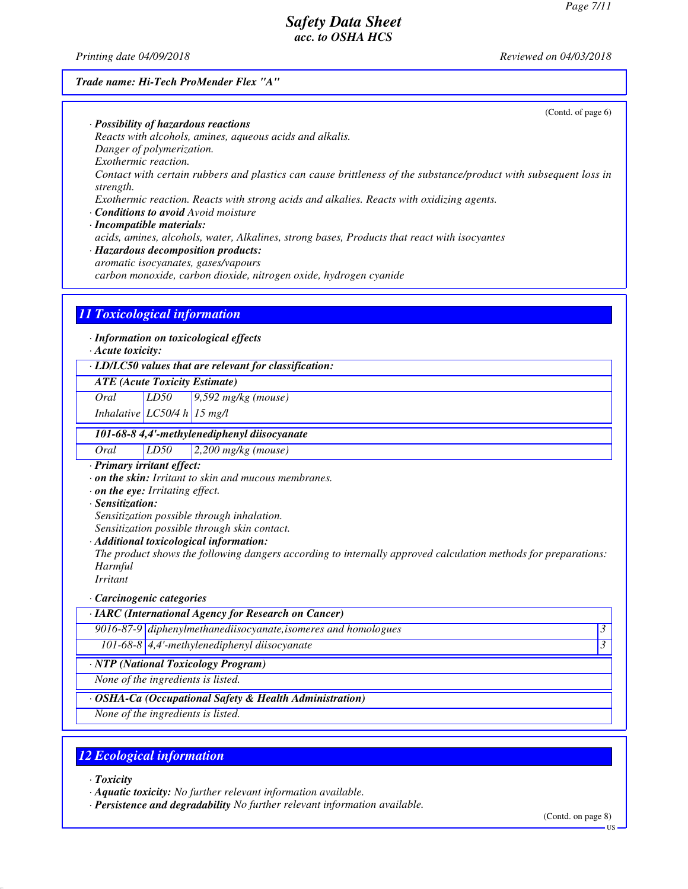*Printing date 04/09/2018 Reviewed on 04/03/2018*

#### *Trade name: Hi-Tech ProMender Flex "A"*

(Contd. of page 6)

*· Possibility of hazardous reactions Reacts with alcohols, amines, aqueous acids and alkalis. Danger of polymerization. Exothermic reaction. Contact with certain rubbers and plastics can cause brittleness of the substance/product with subsequent loss in strength. Exothermic reaction. Reacts with strong acids and alkalies. Reacts with oxidizing agents. · Conditions to avoid Avoid moisture*

*· Incompatible materials:*

*acids, amines, alcohols, water, Alkalines, strong bases, Products that react with isocyantes*

*· Hazardous decomposition products:*

*aromatic isocyanates, gases/vapours*

*carbon monoxide, carbon dioxide, nitrogen oxide, hydrogen cyanide*

#### *11 Toxicological information*

*· Information on toxicological effects*

*· Acute toxicity:*

*· LD/LC50 values that are relevant for classification:*

*ATE (Acute Toxicity Estimate)*

*Oral LD50 9,592 mg/kg (mouse)*

*Inhalative LC50/4 h 15 mg/l*

#### *101-68-8 4,4'-methylenediphenyl diisocyanate*

*Oral LD50 2,200 mg/kg (mouse)*

*· Primary irritant effect:*

*· on the skin: Irritant to skin and mucous membranes.*

- *· on the eye: Irritating effect.*
- *· Sensitization:*

*Sensitization possible through inhalation.*

*Sensitization possible through skin contact.*

*· Additional toxicological information:*

*The product shows the following dangers according to internally approved calculation methods for preparations: Harmful*

*Irritant*

#### *· Carcinogenic categories*

*· IARC (International Agency for Research on Cancer) 9016-87-9 diphenylmethanediisocyanate,isomeres and homologues 3 101-68-8 4,4'-methylenediphenyl diisocyanate 3 · NTP (National Toxicology Program) None of the ingredients is listed.*

*· OSHA-Ca (Occupational Safety & Health Administration)*

*None of the ingredients is listed.*

# *12 Ecological information*

*· Toxicity*

*· Aquatic toxicity: No further relevant information available.*

*· Persistence and degradability No further relevant information available.*

(Contd. on page 8)

US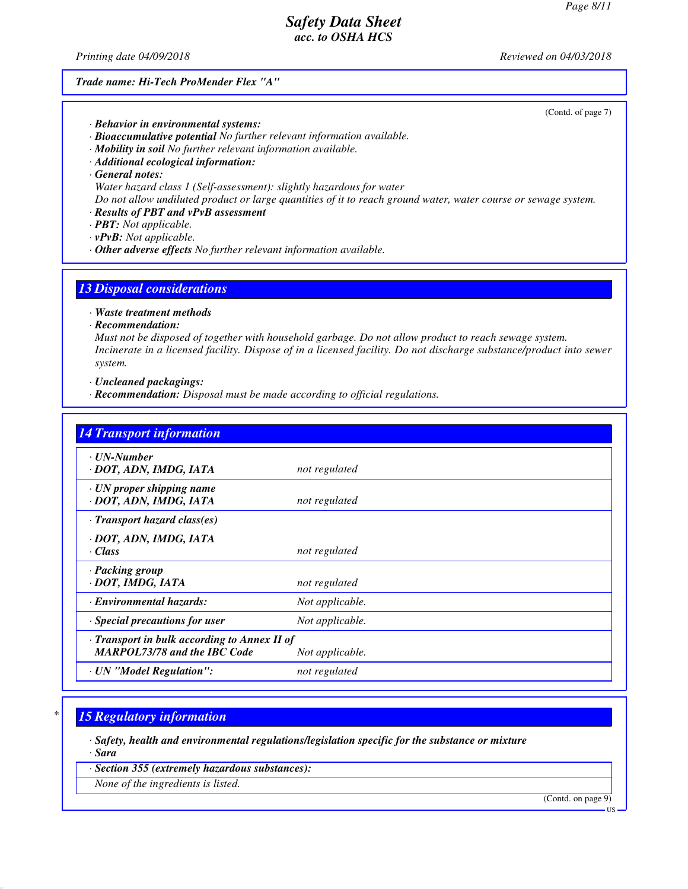*Printing date 04/09/2018 Reviewed on 04/03/2018*

#### *Trade name: Hi-Tech ProMender Flex "A"*

(Contd. of page 7)

- *· Behavior in environmental systems:*
- *· Bioaccumulative potential No further relevant information available.*
- *· Mobility in soil No further relevant information available.*
- *· Additional ecological information:*
- *· General notes:*
- *Water hazard class 1 (Self-assessment): slightly hazardous for water*

*Do not allow undiluted product or large quantities of it to reach ground water, water course or sewage system.*

- *· Results of PBT and vPvB assessment*
- *· PBT: Not applicable.*
- *· vPvB: Not applicable.*
- *· Other adverse effects No further relevant information available.*

# *13 Disposal considerations*

*· Waste treatment methods*

*· Recommendation:*

*Must not be disposed of together with household garbage. Do not allow product to reach sewage system. Incinerate in a licensed facility. Dispose of in a licensed facility. Do not discharge substance/product into sewer system.*

*· Uncleaned packagings:*

*· Recommendation: Disposal must be made according to official regulations.*

| <b>14 Transport information</b>                                                     |                 |
|-------------------------------------------------------------------------------------|-----------------|
| $\cdot$ UN-Number<br>· DOT, ADN, IMDG, IATA                                         | not regulated   |
| $\cdot$ UN proper shipping name<br>· DOT, ADN, IMDG, IATA                           | not regulated   |
| · Transport hazard class(es)                                                        |                 |
| · DOT, ADN, IMDG, IATA<br>· Class                                                   | not regulated   |
| · Packing group<br>· DOT, IMDG, IATA                                                | not regulated   |
| · Environmental hazards:                                                            | Not applicable. |
| Special precautions for user                                                        | Not applicable. |
| · Transport in bulk according to Annex II of<br><b>MARPOL73/78 and the IBC Code</b> | Not applicable. |
| · UN "Model Regulation":                                                            | not regulated   |

# *\* 15 Regulatory information*

*· Safety, health and environmental regulations/legislation specific for the substance or mixture · Sara*

*· Section 355 (extremely hazardous substances):*

*None of the ingredients is listed.*

(Contd. on page 9)

US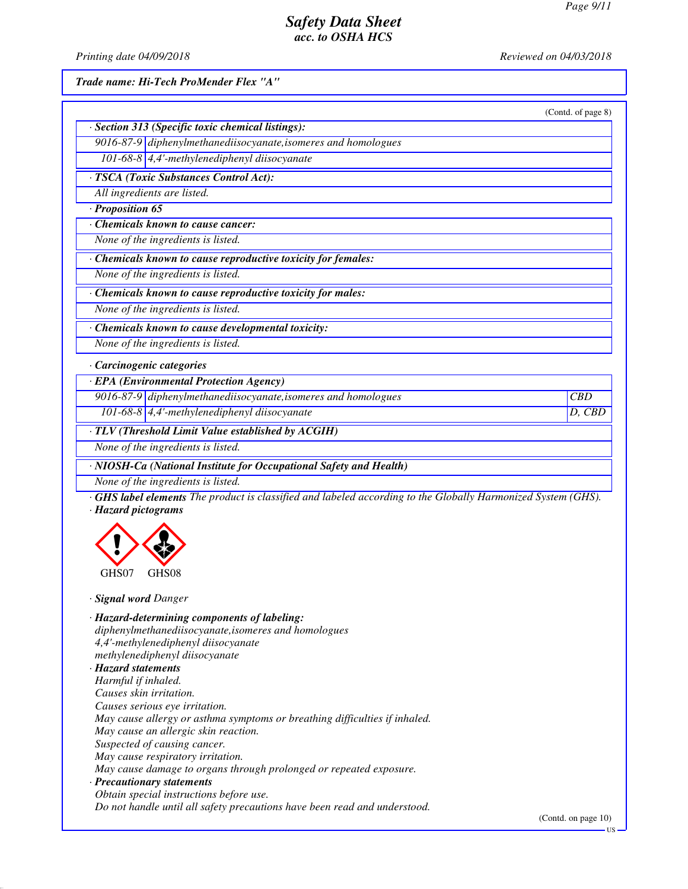*Printing date 04/09/2018 Reviewed on 04/03/2018*

*Trade name: Hi-Tech ProMender Flex "A"*

| · Section 313 (Specific toxic chemical listings):                                                                                                                                                    | (Contd. of page 8) |
|------------------------------------------------------------------------------------------------------------------------------------------------------------------------------------------------------|--------------------|
| 9016-87-9 diphenylmethanediisocyanate, isomeres and homologues                                                                                                                                       |                    |
| 101-68-8 4,4'-methylenediphenyl diisocyanate                                                                                                                                                         |                    |
| · TSCA (Toxic Substances Control Act):                                                                                                                                                               |                    |
| All ingredients are listed.                                                                                                                                                                          |                    |
| · Proposition 65                                                                                                                                                                                     |                    |
| Chemicals known to cause cancer:                                                                                                                                                                     |                    |
| None of the ingredients is listed.                                                                                                                                                                   |                    |
| · Chemicals known to cause reproductive toxicity for females:                                                                                                                                        |                    |
| None of the ingredients is listed.                                                                                                                                                                   |                    |
|                                                                                                                                                                                                      |                    |
| Chemicals known to cause reproductive toxicity for males:                                                                                                                                            |                    |
| None of the ingredients is listed.                                                                                                                                                                   |                    |
| Chemicals known to cause developmental toxicity:                                                                                                                                                     |                    |
| None of the ingredients is listed.                                                                                                                                                                   |                    |
| · Carcinogenic categories                                                                                                                                                                            |                    |
| · EPA (Environmental Protection Agency)                                                                                                                                                              |                    |
| 9016-87-9 diphenylmethanediisocyanate, isomeres and homologues                                                                                                                                       | CBD                |
| 101-68-8 4,4'-methylenediphenyl diisocyanate                                                                                                                                                         | D, CBD             |
| · TLV (Threshold Limit Value established by ACGIH)                                                                                                                                                   |                    |
| None of the ingredients is listed.                                                                                                                                                                   |                    |
| · NIOSH-Ca (National Institute for Occupational Safety and Health)                                                                                                                                   |                    |
| None of the ingredients is listed.                                                                                                                                                                   |                    |
| <b>GHS label elements</b> The product is classified and labeled according to the Globally Harmonized System (GHS).<br>· Hazard pictograms                                                            |                    |
|                                                                                                                                                                                                      |                    |
| GHS07<br>GHS08                                                                                                                                                                                       |                    |
| · Signal word Danger                                                                                                                                                                                 |                    |
| · Hazard-determining components of labeling:<br>diphenylmethanediisocyanate, isomeres and homologues<br>4,4'-methylenediphenyl diisocyanate<br>methylenediphenyl diisocyanate<br>· Hazard statements |                    |

*Harmful if inhaled. Causes skin irritation. Causes serious eye irritation. May cause allergy or asthma symptoms or breathing difficulties if inhaled. May cause an allergic skin reaction. Suspected of causing cancer. May cause respiratory irritation. May cause damage to organs through prolonged or repeated exposure. · Precautionary statements Obtain special instructions before use. Do not handle until all safety precautions have been read and understood.*

(Contd. on page 10)

 $\overline{\mathbf{U}}$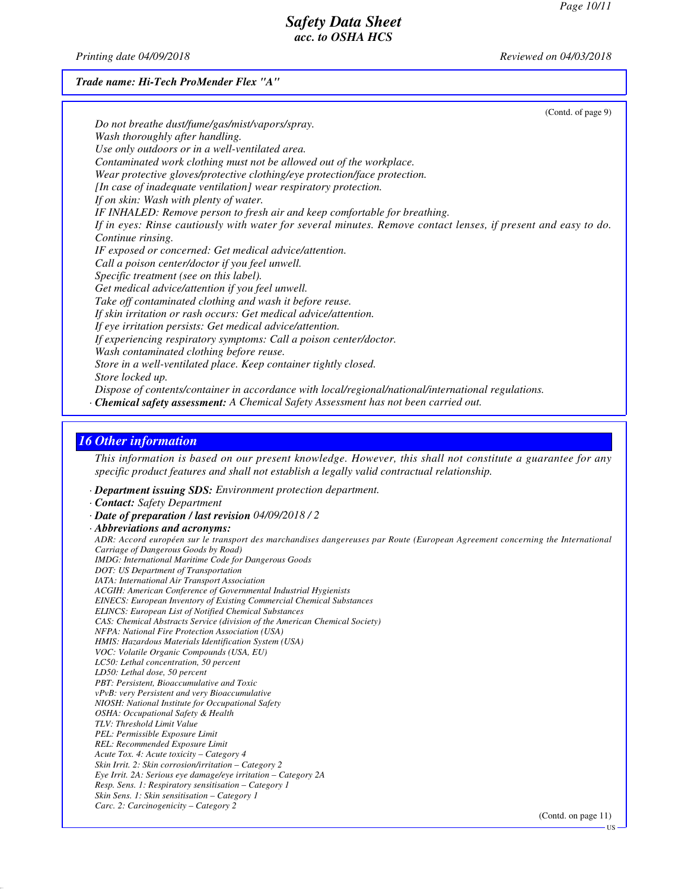*Printing date 04/09/2018 Reviewed on 04/03/2018*

*Trade name: Hi-Tech ProMender Flex "A"*

| (Contd. of page 9)                                                                                             |
|----------------------------------------------------------------------------------------------------------------|
| Do not breathe dust/fume/gas/mist/vapors/spray.                                                                |
| Wash thoroughly after handling.                                                                                |
| Use only outdoors or in a well-ventilated area.                                                                |
| Contaminated work clothing must not be allowed out of the workplace.                                           |
| Wear protective gloves/protective clothing/eye protection/face protection.                                     |
| [In case of inadequate ventilation] wear respiratory protection.                                               |
| If on skin: Wash with plenty of water.                                                                         |
| IF INHALED: Remove person to fresh air and keep comfortable for breathing.                                     |
| If in eyes: Rinse cautiously with water for several minutes. Remove contact lenses, if present and easy to do. |
| Continue rinsing.                                                                                              |
| IF exposed or concerned: Get medical advice/attention.                                                         |
| Call a poison center/doctor if you feel unwell.                                                                |
| Specific treatment (see on this label).                                                                        |
| Get medical advice/attention if you feel unwell.                                                               |
| Take off contaminated clothing and wash it before reuse.                                                       |
| If skin irritation or rash occurs: Get medical advice/attention.                                               |
| If eye irritation persists: Get medical advice/attention.                                                      |
| If experiencing respiratory symptoms: Call a poison center/doctor.                                             |
| Wash contaminated clothing before reuse.                                                                       |
| Store in a well-ventilated place. Keep container tightly closed.                                               |
| Store locked up.                                                                                               |
| Dispose of contents/container in accordance with local/regional/national/international regulations.            |
| <b>Chemical safety assessment:</b> A Chemical Safety Assessment has not been carried out.                      |

# *16 Other information*

*This information is based on our present knowledge. However, this shall not constitute a guarantee for any specific product features and shall not establish a legally valid contractual relationship.*

- *· Department issuing SDS: Environment protection department.*
- *· Contact: Safety Department*
- *· Date of preparation / last revision 04/09/2018 / 2*

*· Abbreviations and acronyms: ADR: Accord européen sur le transport des marchandises dangereuses par Route (European Agreement concerning the International Carriage of Dangerous Goods by Road) IMDG: International Maritime Code for Dangerous Goods DOT: US Department of Transportation IATA: International Air Transport Association ACGIH: American Conference of Governmental Industrial Hygienists EINECS: European Inventory of Existing Commercial Chemical Substances ELINCS: European List of Notified Chemical Substances CAS: Chemical Abstracts Service (division of the American Chemical Society) NFPA: National Fire Protection Association (USA) HMIS: Hazardous Materials Identification System (USA) VOC: Volatile Organic Compounds (USA, EU) LC50: Lethal concentration, 50 percent LD50: Lethal dose, 50 percent PBT: Persistent, Bioaccumulative and Toxic vPvB: very Persistent and very Bioaccumulative NIOSH: National Institute for Occupational Safety OSHA: Occupational Safety & Health TLV: Threshold Limit Value PEL: Permissible Exposure Limit REL: Recommended Exposure Limit Acute Tox. 4: Acute toxicity – Category 4 Skin Irrit. 2: Skin corrosion/irritation – Category 2 Eye Irrit. 2A: Serious eye damage/eye irritation – Category 2A Resp. Sens. 1: Respiratory sensitisation – Category 1 Skin Sens. 1: Skin sensitisation – Category 1 Carc. 2: Carcinogenicity – Category 2*

(Contd. on page 11)